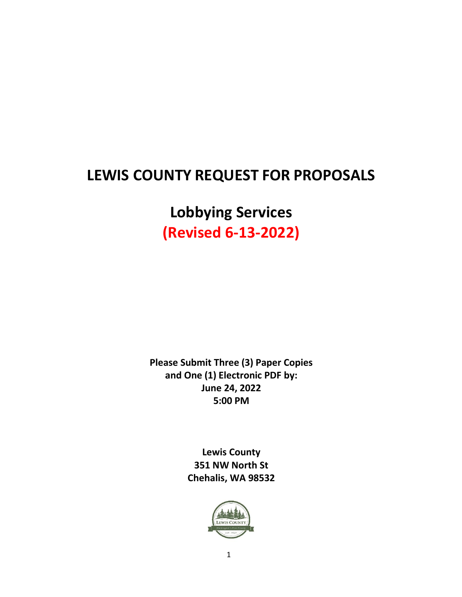# **LEWIS COUNTY REQUEST FOR PROPOSALS**

**Lobbying Services (Revised 6-13-2022)**

**Please Submit Three (3) Paper Copies and One (1) Electronic PDF by: June 24, 2022 5:00 PM**

> **Lewis County 351 NW North St Chehalis, WA 98532**

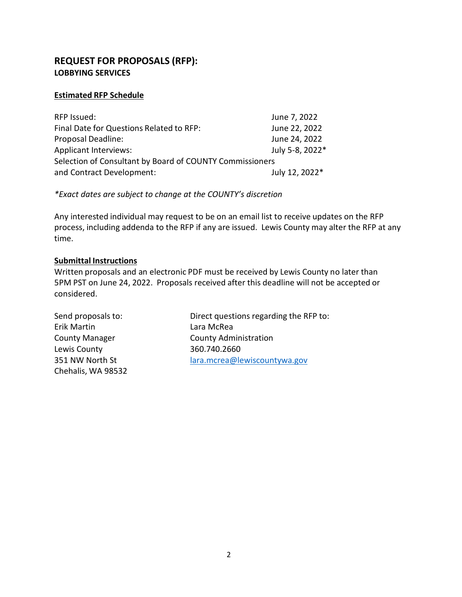# **REQUEST FOR PROPOSALS (RFP): LOBBYING SERVICES**

## **Estimated RFP Schedule**

| RFP Issued:                                              | June 7, 2022    |
|----------------------------------------------------------|-----------------|
| Final Date for Questions Related to RFP:                 | June 22, 2022   |
| <b>Proposal Deadline:</b>                                | June 24, 2022   |
| <b>Applicant Interviews:</b>                             | July 5-8, 2022* |
| Selection of Consultant by Board of COUNTY Commissioners |                 |
| and Contract Development:                                | July 12, 2022*  |

*\*Exact dates are subject to change at the COUNTY's discretion*

Any interested individual may request to be on an email list to receive updates on the RFP process, including addenda to the RFP if any are issued. Lewis County may alter the RFP at any time.

## **Submittal Instructions**

Written proposals and an electronic PDF must be received by Lewis County no later than 5PM PST on June 24, 2022. Proposals received after this deadline will not be accepted or considered.

Erik Martin Lara McRea Lewis County 360.740.2660 Chehalis, WA 98532

Send proposals to: Direct questions regarding the RFP to: County Manager **County Administration** 351 NW North St lara.mcrea@lewiscountywa.gov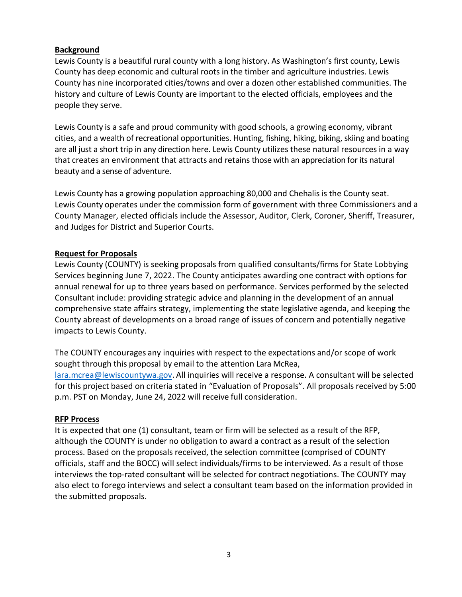## **Background**

Lewis County is a beautiful rural county with a long history. As Washington's first county, Lewis County has deep economic and cultural roots in the timber and agriculture industries. Lewis County has nine incorporated cities/towns and over a dozen other established communities. The history and culture of Lewis County are important to the elected officials, employees and the people they serve.

Lewis County is a safe and proud community with good schools, a growing economy, vibrant cities, and a wealth of recreational opportunities. Hunting, fishing, hiking, biking, skiing and boating are all just a short trip in any direction here. Lewis County utilizes these natural resources in a way that creates an environment that attracts and retains those with an appreciation for its natural beauty and a sense of adventure.

Lewis County has a growing population approaching 80,000 and Chehalis is the County seat. Lewis County operates under the commission form of government with three Commissioners and a County Manager, elected officials include the Assessor, Auditor, Clerk, Coroner, Sheriff, Treasurer, and Judges for District and Superior Courts.

## **Request for Proposals**

Lewis County (COUNTY) is seeking proposals from qualified consultants/firms for State Lobbying Services beginning June 7, 2022. The County anticipates awarding one contract with options for annual renewal for up to three years based on performance. Services performed by the selected Consultant include: providing strategic advice and planning in the development of an annual comprehensive state affairs strategy, implementing the state legislative agenda, and keeping the County abreast of developments on a broad range of issues of concern and potentially negative impacts to Lewis County.

The COUNTY encourages any inquiries with respect to the expectations and/or scope of work sought through this proposal by email to the attention Lara McRea, lara.mcrea@lewiscountywa.gov. All inquiries will receive a response. A consultant will be selected for this project based on criteria stated in "Evaluation of Proposals". All proposals received by 5:00 p.m. PST on Monday, June 24, 2022 will receive full consideration.

#### **RFP Process**

It is expected that one (1) consultant, team or firm will be selected as a result of the RFP, although the COUNTY is under no obligation to award a contract as a result of the selection process. Based on the proposals received, the selection committee (comprised of COUNTY officials, staff and the BOCC) will select individuals/firms to be interviewed. As a result of those interviews the top‐rated consultant will be selected for contract negotiations. The COUNTY may also elect to forego interviews and select a consultant team based on the information provided in the submitted proposals.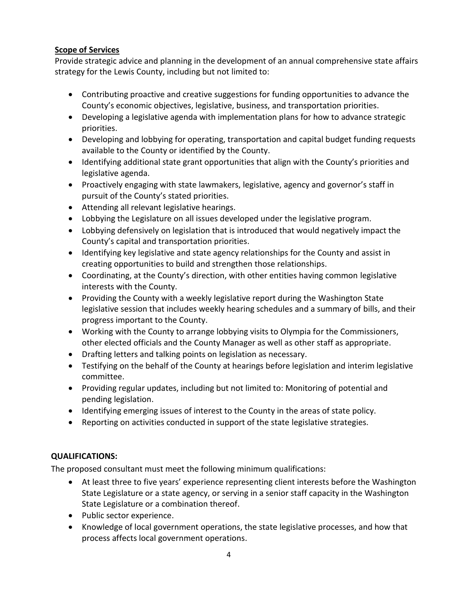# **Scope of Services**

Provide strategic advice and planning in the development of an annual comprehensive state affairs strategy for the Lewis County, including but not limited to:

- Contributing proactive and creative suggestions for funding opportunities to advance the County's economic objectives, legislative, business, and transportation priorities.
- Developing a legislative agenda with implementation plans for how to advance strategic priorities.
- Developing and lobbying for operating, transportation and capital budget funding requests available to the County or identified by the County.
- Identifying additional state grant opportunities that align with the County's priorities and legislative agenda.
- Proactively engaging with state lawmakers, legislative, agency and governor's staff in pursuit of the County's stated priorities.
- Attending all relevant legislative hearings.
- Lobbying the Legislature on all issues developed under the legislative program.
- Lobbying defensively on legislation that is introduced that would negatively impact the County's capital and transportation priorities.
- Identifying key legislative and state agency relationships for the County and assist in creating opportunities to build and strengthen those relationships.
- Coordinating, at the County's direction, with other entities having common legislative interests with the County.
- Providing the County with a weekly legislative report during the Washington State legislative session that includes weekly hearing schedules and a summary of bills, and their progress important to the County.
- Working with the County to arrange lobbying visits to Olympia for the Commissioners, other elected officials and the County Manager as well as other staff as appropriate.
- Drafting letters and talking points on legislation as necessary.
- Testifying on the behalf of the County at hearings before legislation and interim legislative committee.
- Providing regular updates, including but not limited to: Monitoring of potential and pending legislation.
- Identifying emerging issues of interest to the County in the areas of state policy.
- Reporting on activities conducted in support of the state legislative strategies.

# **QUALIFICATIONS:**

The proposed consultant must meet the following minimum qualifications:

- At least three to five years' experience representing client interests before the Washington State Legislature or a state agency, or serving in a senior staff capacity in the Washington State Legislature or a combination thereof.
- Public sector experience.
- Knowledge of local government operations, the state legislative processes, and how that process affects local government operations.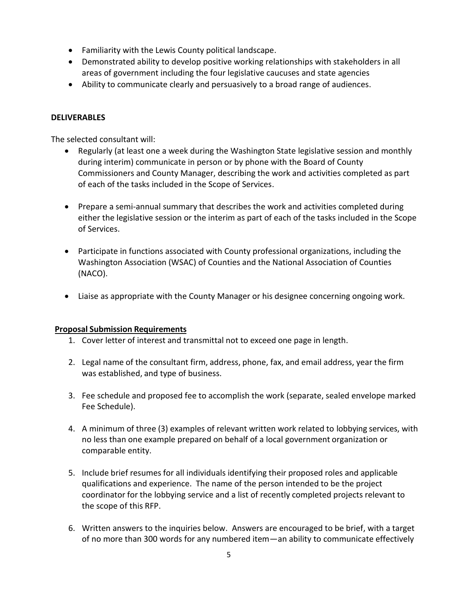- Familiarity with the Lewis County political landscape.
- Demonstrated ability to develop positive working relationships with stakeholders in all areas of government including the four legislative caucuses and state agencies
- Ability to communicate clearly and persuasively to a broad range of audiences.

## **DELIVERABLES**

The selected consultant will:

- Regularly (at least one a week during the Washington State legislative session and monthly during interim) communicate in person or by phone with the Board of County Commissioners and County Manager, describing the work and activities completed as part of each of the tasks included in the Scope of Services.
- Prepare a semi-annual summary that describes the work and activities completed during either the legislative session or the interim as part of each of the tasks included in the Scope of Services.
- Participate in functions associated with County professional organizations, including the Washington Association (WSAC) of Counties and the National Association of Counties (NACO).
- Liaise as appropriate with the County Manager or his designee concerning ongoing work.

#### **Proposal Submission Requirements**

- 1. Cover letter of interest and transmittal not to exceed one page in length.
- 2. Legal name of the consultant firm, address, phone, fax, and email address, year the firm was established, and type of business.
- 3. Fee schedule and proposed fee to accomplish the work (separate, sealed envelope marked Fee Schedule).
- 4. A minimum of three (3) examples of relevant written work related to lobbying services, with no less than one example prepared on behalf of a local government organization or comparable entity.
- 5. Include brief resumes for all individuals identifying their proposed roles and applicable qualifications and experience. The name of the person intended to be the project coordinator for the lobbying service and a list of recently completed projects relevant to the scope of this RFP.
- 6. Written answers to the inquiries below. Answers are encouraged to be brief, with a target of no more than 300 words for any numbered item—an ability to communicate effectively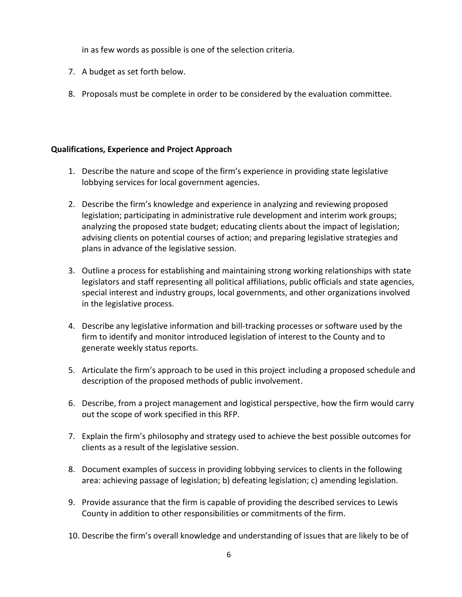in as few words as possible is one of the selection criteria.

- 7. A budget as set forth below.
- 8. Proposals must be complete in order to be considered by the evaluation committee.

## **Qualifications, Experience and Project Approach**

- 1. Describe the nature and scope of the firm's experience in providing state legislative lobbying services for local government agencies.
- 2. Describe the firm's knowledge and experience in analyzing and reviewing proposed legislation; participating in administrative rule development and interim work groups; analyzing the proposed state budget; educating clients about the impact of legislation; advising clients on potential courses of action; and preparing legislative strategies and plans in advance of the legislative session.
- 3. Outline a process for establishing and maintaining strong working relationships with state legislators and staff representing all political affiliations, public officials and state agencies, special interest and industry groups, local governments, and other organizations involved in the legislative process.
- 4. Describe any legislative information and bill-tracking processes or software used by the firm to identify and monitor introduced legislation of interest to the County and to generate weekly status reports.
- 5. Articulate the firm's approach to be used in this project including a proposed schedule and description of the proposed methods of public involvement.
- 6. Describe, from a project management and logistical perspective, how the firm would carry out the scope of work specified in this RFP.
- 7. Explain the firm's philosophy and strategy used to achieve the best possible outcomes for clients as a result of the legislative session.
- 8. Document examples of success in providing lobbying services to clients in the following area: achieving passage of legislation; b) defeating legislation; c) amending legislation.
- 9. Provide assurance that the firm is capable of providing the described services to Lewis County in addition to other responsibilities or commitments of the firm.
- 10. Describe the firm's overall knowledge and understanding of issues that are likely to be of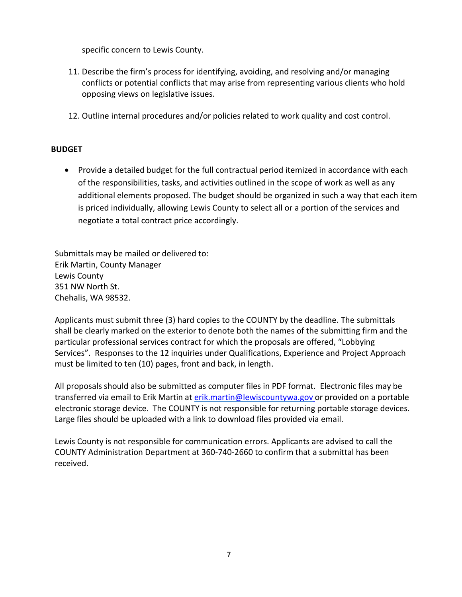specific concern to Lewis County.

- 11. Describe the firm's process for identifying, avoiding, and resolving and/or managing conflicts or potential conflicts that may arise from representing various clients who hold opposing views on legislative issues.
- 12. Outline internal procedures and/or policies related to work quality and cost control.

## **BUDGET**

 Provide a detailed budget for the full contractual period itemized in accordance with each of the responsibilities, tasks, and activities outlined in the scope of work as well as any additional elements proposed. The budget should be organized in such a way that each item is priced individually, allowing Lewis County to select all or a portion of the services and negotiate a total contract price accordingly.

Submittals may be mailed or delivered to: Erik Martin, County Manager Lewis County 351 NW North St. Chehalis, WA 98532.

Applicants must submit three (3) hard copies to the COUNTY by the deadline. The submittals shall be clearly marked on the exterior to denote both the names of the submitting firm and the particular professional services contract for which the proposals are offered, "Lobbying Services". Responses to the 12 inquiries under Qualifications, Experience and Project Approach must be limited to ten (10) pages, front and back, in length.

All proposals should also be submitted as computer files in PDF format. Electronic files may be transferred via email to Erik Martin at [erik.martin@lewiscountywa.gov](mailto:erik.martin@lewiscountywa.gov) or provided on a portable electronic storage device. The COUNTY is not responsible for returning portable storage devices. Large files should be uploaded with a link to download files provided via email.

Lewis County is not responsible for communication errors. Applicants are advised to call the COUNTY Administration Department at 360-740-2660 to confirm that a submittal has been received.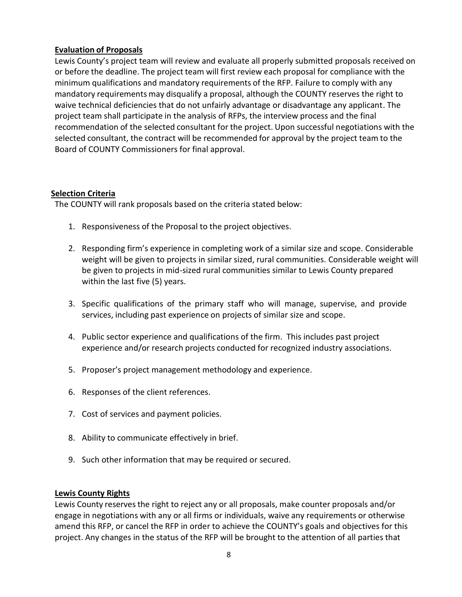## **Evaluation of Proposals**

Lewis County's project team will review and evaluate all properly submitted proposals received on or before the deadline. The project team will first review each proposal for compliance with the minimum qualifications and mandatory requirements of the RFP. Failure to comply with any mandatory requirements may disqualify a proposal, although the COUNTY reserves the right to waive technical deficiencies that do not unfairly advantage or disadvantage any applicant. The project team shall participate in the analysis of RFPs, the interview process and the final recommendation of the selected consultant for the project. Upon successful negotiations with the selected consultant, the contract will be recommended for approval by the project team to the Board of COUNTY Commissioners for final approval.

#### **Selection Criteria**

The COUNTY will rank proposals based on the criteria stated below:

- 1. Responsiveness of the Proposal to the project objectives.
- 2. Responding firm's experience in completing work of a similar size and scope. Considerable weight will be given to projects in similar sized, rural communities. Considerable weight will be given to projects in mid-sized rural communities similar to Lewis County prepared within the last five (5) years.
- 3. Specific qualifications of the primary staff who will manage, supervise, and provide services, including past experience on projects of similar size and scope.
- 4. Public sector experience and qualifications of the firm. This includes past project experience and/or research projects conducted for recognized industry associations.
- 5. Proposer's project management methodology and experience.
- 6. Responses of the client references.
- 7. Cost of services and payment policies.
- 8. Ability to communicate effectively in brief.
- 9. Such other information that may be required or secured.

#### **Lewis County Rights**

Lewis County reservesthe right to reject any or all proposals, make counter proposals and/or engage in negotiations with any or all firms or individuals, waive any requirements or otherwise amend this RFP, or cancel the RFP in order to achieve the COUNTY's goals and objectives for this project. Any changes in the status of the RFP will be brought to the attention of all parties that